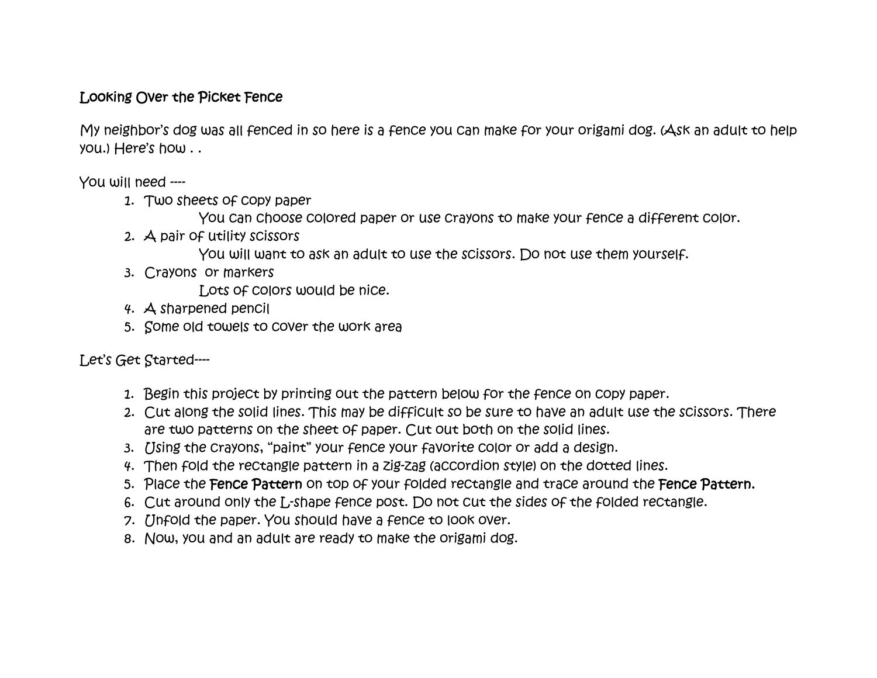## Looking Over the Picket Fence

My neighbor's dog was all fenced in so here is a fence you can make for your origami dog. (Ask an adult to help you.) Here's how . .

You will need ----

- 1. Two sheets of copy paper
	- You can choose colored paper or use crayons to make your fence a different color.
- 2. A pair of utility scissors
	- You will want to ask an adult to use the scissors. Do not use them yourself.
- 3. Crayons or markers

Lots of colors would be nice.

- 4. A sharpened pencil
- 5. Some old towels to cover the work area

Let's Get Started----

- 1. Begin this project by printing out the pattern below for the fence on copy paper.
- 2. Cut along the solid lines. This may be difficult so be sure to have an adult use the scissors. There are two patterns on the sheet of paper. Cut out both on the solid lines.
- 3. Using the crayons, "paint" your fence your favorite color or add a design.
- 4. Then fold the rectangle pattern in a zig-zag (accordion style) on the dotted lines.
- 5. Place the Fence Pattern on top of your folded rectangle and trace around the Fence Pattern.
- 6. Cut around only the L-shape fence post. Do not cut the sides of the folded rectangle.
- 7. Unfold the paper. You should have a fence to look over.
- 8. Now, you and an adult are ready to make the origami dog.